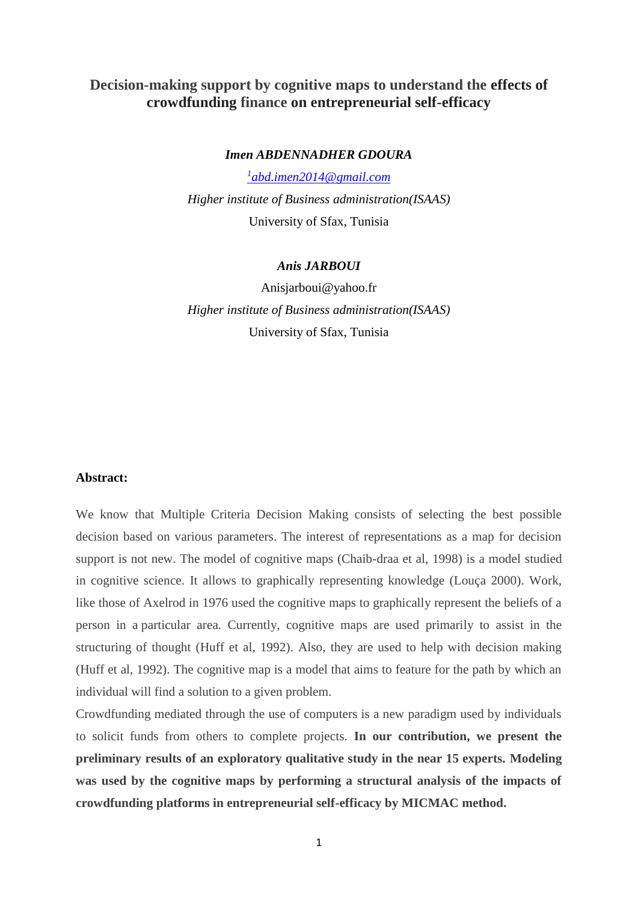# **Decision-making support by cognitive maps to understand the effects of crowdfunding finance on entrepreneurial self-efficacy**

#### *Imen ABDENNADHER GDOURA*

*1 [abd.imen2014@gmail.com](mailto:1abd.imen2014@gmail.com) Higher institute of Business administration(ISAAS)* University of Sfax, Tunisia

## *Anis JARBOUI*

Anisjarboui@yahoo.fr *Higher institute of Business administration(ISAAS)* University of Sfax, Tunisia

#### **Abstract:**

We know that Multiple Criteria Decision Making consists of selecting the best possible decision based on various parameters. The interest of representations as a map for decision support is not new. The model of cognitive maps (Chaib-draa et al, 1998) is a model studied in cognitive science. It allows to graphically representing knowledge (Louça 2000). Work, like those of Axelrod in 1976 used the cognitive maps to graphically represent the beliefs of a person in a particular area. Currently, cognitive maps are used primarily to assist in the structuring of thought (Huff et al, 1992). Also, they are used to help with decision making (Huff et al, 1992). The cognitive map is a model that aims to feature for the path by which an individual will find a solution to a given problem.

Crowdfunding mediated through the use of computers is a new paradigm used by individuals to solicit funds from others to complete projects. **In our contribution, we present the preliminary results of an exploratory qualitative study in the near 15 experts. Modeling was used by the cognitive maps by performing a structural analysis of the impacts of crowdfunding platforms in entrepreneurial self-efficacy by MICMAC method.**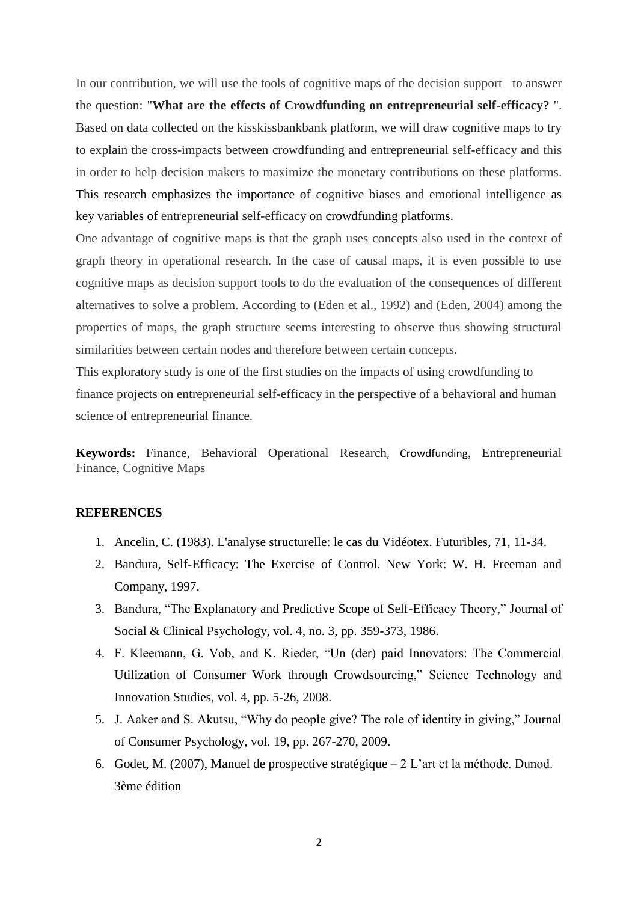In our contribution, we will use the tools of cognitive maps of the decision support to answer the question: "**What are the effects of Crowdfunding on entrepreneurial self-efficacy?** ". Based on data collected on the kisskissbankbank platform, we will draw cognitive maps to try to explain the cross-impacts between crowdfunding and entrepreneurial self-efficacy and this in order to help decision makers to maximize the monetary contributions on these platforms. This research emphasizes the importance of cognitive biases and emotional intelligence as key variables of entrepreneurial self-efficacy on crowdfunding platforms.

One advantage of cognitive maps is that the graph uses concepts also used in the context of graph theory in operational research. In the case of causal maps, it is even possible to use cognitive maps as decision support tools to do the evaluation of the consequences of different alternatives to solve a problem. According to (Eden et al., 1992) and (Eden, 2004) among the properties of maps, the graph structure seems interesting to observe thus showing structural similarities between certain nodes and therefore between certain concepts.

This exploratory study is one of the first studies on the impacts of using crowdfunding to finance projects on entrepreneurial self-efficacy in the perspective of a behavioral and human science of entrepreneurial finance.

**Keywords:** Finance, Behavioral Operational Research, Crowdfunding, Entrepreneurial Finance, Cognitive Maps

## **REFERENCES**

- 1. Ancelin, C. (1983). L'analyse structurelle: le cas du Vidéotex. Futuribles, 71, 11-34.
- 2. Bandura, Self-Efficacy: The Exercise of Control. New York: W. H. Freeman and Company, 1997.
- 3. Bandura, "The Explanatory and Predictive Scope of Self-Efficacy Theory," Journal of Social & Clinical Psychology, vol. 4, no. 3, pp. 359-373, 1986.
- 4. F. Kleemann, G. Vob, and K. Rieder, "Un (der) paid Innovators: The Commercial Utilization of Consumer Work through Crowdsourcing," Science Technology and Innovation Studies, vol. 4, pp. 5-26, 2008.
- 5. J. Aaker and S. Akutsu, "Why do people give? The role of identity in giving," Journal of Consumer Psychology, vol. 19, pp. 267-270, 2009.
- 6. Godet, M. (2007), Manuel de prospective stratégique 2 L'art et la méthode. Dunod. 3ème édition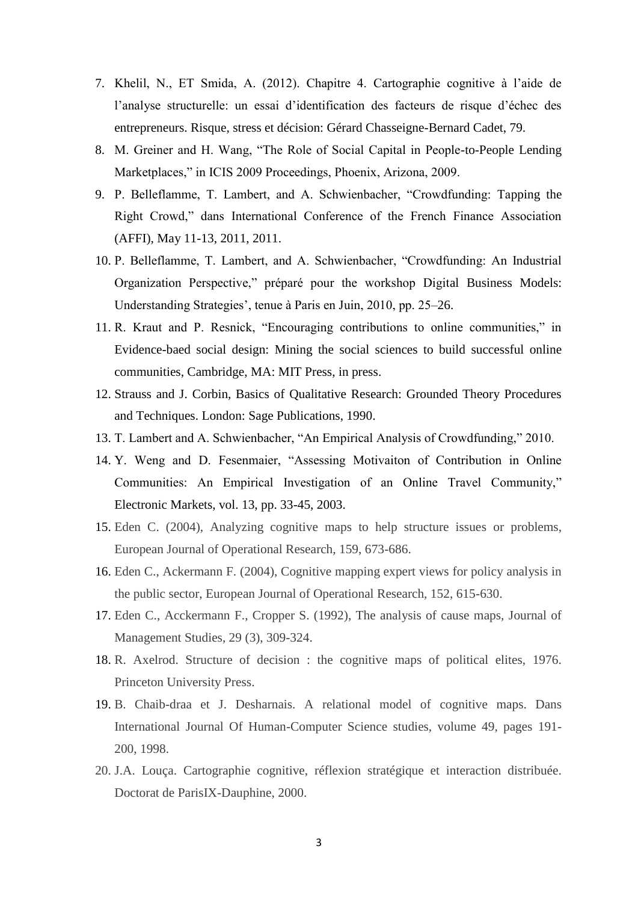- 7. Khelil, N., ET Smida, A. (2012). Chapitre 4. Cartographie cognitive à l'aide de l'analyse structurelle: un essai d'identification des facteurs de risque d'échec des entrepreneurs. Risque, stress et décision: Gérard Chasseigne-Bernard Cadet, 79.
- 8. M. Greiner and H. Wang, "The Role of Social Capital in People-to-People Lending Marketplaces," in ICIS 2009 Proceedings, Phoenix, Arizona, 2009.
- 9. P. Belleflamme, T. Lambert, and A. Schwienbacher, "Crowdfunding: Tapping the Right Crowd," dans International Conference of the French Finance Association (AFFI), May 11-13, 2011, 2011.
- 10. P. Belleflamme, T. Lambert, and A. Schwienbacher, "Crowdfunding: An Industrial Organization Perspective," préparé pour the workshop Digital Business Models: Understanding Strategies', tenue à Paris en Juin, 2010, pp. 25–26.
- 11. R. Kraut and P. Resnick, "Encouraging contributions to online communities," in Evidence-baed social design: Mining the social sciences to build successful online communities, Cambridge, MA: MIT Press, in press.
- 12. Strauss and J. Corbin, Basics of Qualitative Research: Grounded Theory Procedures and Techniques. London: Sage Publications, 1990.
- 13. T. Lambert and A. Schwienbacher, "An Empirical Analysis of Crowdfunding," 2010.
- 14. Y. Weng and D. Fesenmaier, "Assessing Motivaiton of Contribution in Online Communities: An Empirical Investigation of an Online Travel Community," Electronic Markets, vol. 13, pp. 33-45, 2003.
- 15. Eden C. (2004), Analyzing cognitive maps to help structure issues or problems, European Journal of Operational Research, 159, 673-686.
- 16. Eden C., Ackermann F. (2004), Cognitive mapping expert views for policy analysis in the public sector, European Journal of Operational Research, 152, 615-630.
- 17. Eden C., Acckermann F., Cropper S. (1992), The analysis of cause maps, Journal of Management Studies, 29 (3), 309-324.
- 18. R. Axelrod. Structure of decision : the cognitive maps of political elites, 1976. Princeton University Press.
- 19. B. Chaib-draa et J. Desharnais. A relational model of cognitive maps. Dans International Journal Of Human-Computer Science studies, volume 49, pages 191- 200, 1998.
- 20. J.A. Louça. Cartographie cognitive, réflexion stratégique et interaction distribuée. Doctorat de ParisIX-Dauphine, 2000.